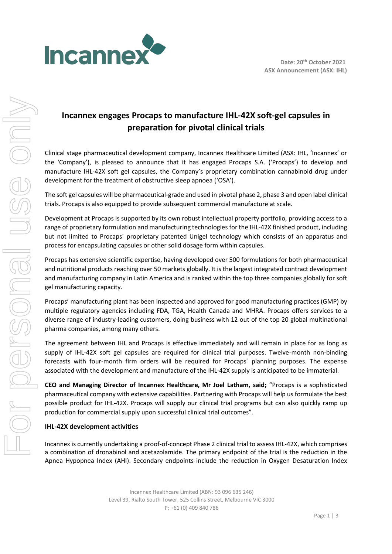

# **Incannex engages Procaps to manufacture IHL-42X soft-gel capsules in preparation for pivotal clinical trials**

Clinical stage pharmaceutical development company, Incannex Healthcare Limited (ASX: IHL, 'Incannex' or the 'Company'), is pleased to announce that it has engaged Procaps S.A. ('Procaps') to develop and manufacture IHL-42X soft gel capsules, the Company's proprietary combination cannabinoid drug under development for the treatment of obstructive sleep apnoea ('OSA').

The soft gel capsules will be pharmaceutical-grade and used in pivotal phase 2, phase 3 and open label clinical trials. Procaps is also equipped to provide subsequent commercial manufacture at scale.

Development at Procaps is supported by its own robust intellectual property portfolio, providing access to a range of proprietary formulation and manufacturing technologies for the IHL-42X finished product, including but not limited to Procaps´ proprietary patented Unigel technology which consists of an apparatus and process for encapsulating capsules or other solid dosage form within capsules.

Procaps has extensive scientific expertise, having developed over 500 formulations for both pharmaceutical and nutritional products reaching over 50 markets globally. It is the largest integrated contract development and manufacturing company in Latin America and is ranked within the top three companies globally for soft gel manufacturing capacity.

Procaps' manufacturing plant has been inspected and approved for good manufacturing practices (GMP) by multiple regulatory agencies including FDA, TGA, Health Canada and MHRA. Procaps offers services to a diverse range of industry-leading customers, doing business with 12 out of the top 20 global multinational pharma companies, among many others.

The agreement between IHL and Procaps is effective immediately and will remain in place for as long as supply of IHL-42X soft gel capsules are required for clinical trial purposes. Twelve-month non-binding forecasts with four-month firm orders will be required for Procaps´ planning purposes. The expense associated with the development and manufacture of the IHL-42X supply is anticipated to be immaterial.

**CEO and Managing Director of Incannex Healthcare, Mr Joel Latham, said;** "Procaps is a sophisticated pharmaceutical company with extensive capabilities. Partnering with Procaps will help us formulate the best possible product for IHL-42X. Procaps will supply our clinical trial programs but can also quickly ramp up production for commercial supply upon successful clinical trial outcomes".

# **IHL-42X development activities**

Incannex is currently undertaking a proof-of-concept Phase 2 clinical trial to assess IHL-42X, which comprises a combination of dronabinol and acetazolamide. The primary endpoint of the trial is the reduction in the Apnea Hypopnea Index (AHI). Secondary endpoints include the reduction in Oxygen Desaturation Index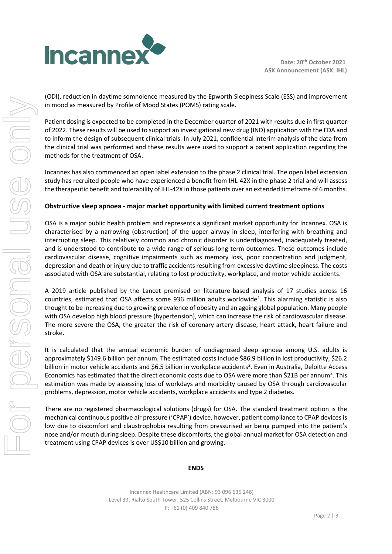

(ODI), reduction in daytime somnolence measured by the Epworth Sleepiness Scale (ESS) and improvement in mood as measured by Profile of Mood States (POMS) rating scale.

Patient dosing is expected to be completed in the December quarter of 2021 with results due in first quarter of 2022. These results will be used to support an investigational new drug (IND) application with the FDA and to inform the design of subsequent clinical trials. In July 2021, confidential interim analysis of the data from the clinical trial was performed and these results were used to support a patent application regarding the methods for the treatment of OSA.

Incannex has also commenced an open label extension to the phase 2 clinical trial. The open label extension study has recruited people who have experienced a benefit from IHL-42X in the phase 2 trial and will assess the therapeutic benefit and tolerability of IHL-42X in those patients over an extended timeframe of 6 months.

# **Obstructive sleep apnoea - major market opportunity with limited current treatment options**

OSA is a major public health problem and represents a significant market opportunity for Incannex. OSA is characterised by a narrowing (obstruction) of the upper airway in sleep, interfering with breathing and interrupting sleep. This relatively common and chronic disorder is underdiagnosed, inadequately treated, and is understood to contribute to a wide range of serious long-term outcomes. These outcomes include cardiovascular disease, cognitive impairments such as memory loss, poor concentration and judgment, depression and death or injury due to traffic accidents resulting from excessive daytime sleepiness. The costs associated with OSA are substantial, relating to lost productivity, workplace, and motor vehicle accidents.

A 2019 article published by the Lancet premised on literature-based analysis of 17 studies across 16 countries, estimated that OSA affects some 936 million adults worldwide<sup>1</sup>. This alarming statistic is also thought to be increasing due to growing prevalence of obesity and an ageing global population. Many people with OSA develop high blood pressure (hypertension), which can increase the risk of cardiovascular disease. The more severe the OSA, the greater the risk of coronary artery disease, heart attack, heart failure and stroke.

It is calculated that the annual economic burden of undiagnosed sleep apnoea among U.S. adults is approximately \$149.6 billion per annum. The estimated costs include \$86.9 billion in lost productivity, \$26.2 billion in motor vehicle accidents and \$6.5 billion in workplace accidents<sup>2</sup>. Even in Australia, Deloitte Access Economics has estimated that the direct economic costs due to OSA were more than \$21B per annum<sup>3</sup>. This estimation was made by assessing loss of workdays and morbidity caused by OSA through cardiovascular problems, depression, motor vehicle accidents, workplace accidents and type 2 diabetes.

There are no registered pharmacological solutions (drugs) for OSA. The standard treatment option is the mechanical continuous positive air pressure ('CPAP') device, however, patient compliance to CPAP devices is low due to discomfort and claustrophobia resulting from pressurised air being pumped into the patient's nose and/or mouth during sleep. Despite these discomforts, the global annual market for OSA detection and treatment using CPAP devices is over US\$10 billion and growing.

### **ENDS**

Incannex Healthcare Limited (ABN: 93 096 635 246) Level 39, Rialto South Tower, 525 Collins Street, Melbourne VIC 3000 P: +61 (0) 409 840 786